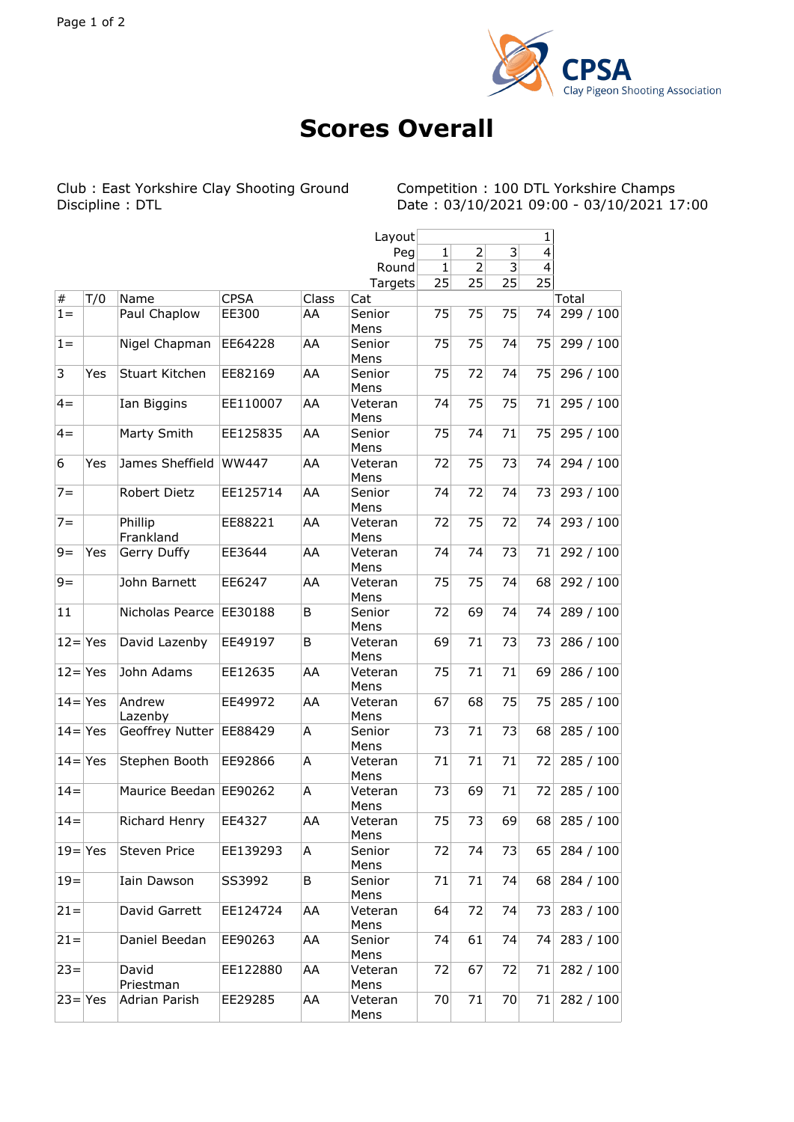

## **Scores Overall**

J.

Club : East Yorkshire Clay Shooting Ground Discipline : DTL

Competition : 100 DTL Yorkshire Champs<br>Date : 03/10/2021 09:00 - 03/10/2021 17:00

|             |     |                        |             |       | Layout          | 1            |                |                         |                |           |
|-------------|-----|------------------------|-------------|-------|-----------------|--------------|----------------|-------------------------|----------------|-----------|
|             |     |                        |             |       | Peg             | $\mathbf{1}$ | $\overline{2}$ | $\mathsf 3$             | $\overline{4}$ |           |
|             |     |                        |             |       | Round           | 1            | 2              | $\overline{\mathbf{3}}$ | 4              |           |
|             |     |                        |             |       | Targets         | 25           | 25             | 25                      | 25             |           |
| $\vert \#$  | T/0 | Name                   | <b>CPSA</b> | Class | Cat             |              |                |                         |                | Total     |
| $1 =$       |     | Paul Chaplow           | EE300       | AA    | Senior<br>Mens  | 75           | 75             | 75                      | 74             | 299 / 100 |
| $1 =$       |     | Nigel Chapman          | EE64228     | AA    | Senior<br>Mens  | 75           | 75             | 74                      | 75             | 299 / 100 |
| 3           | Yes | Stuart Kitchen         | EE82169     | AA    | Senior<br>Mens  | 75           | 72             | 74                      | 75             | 296 / 100 |
| $4 =$       |     | Ian Biggins            | EE110007    | AA    | Veteran<br>Mens | 74           | 75             | 75                      | 71             | 295 / 100 |
| $4 =$       |     | Marty Smith            | EE125835    | AA    | Senior<br>Mens  | 75           | 74             | 71                      | 75             | 295 / 100 |
| 6           | Yes | James Sheffield        | WW447       | AA    | Veteran<br>Mens | 72           | 75             | 73                      | 74             | 294 / 100 |
| $7 =$       |     | Robert Dietz           | EE125714    | AA    | Senior<br>Mens  | 74           | 72             | 74                      | 73             | 293 / 100 |
| $7 =$       |     | Phillip<br>Frankland   | EE88221     | AA    | Veteran<br>Mens | 72           | 75             | 72                      | 74             | 293 / 100 |
| $9 =$       | Yes | Gerry Duffy            | EE3644      | AA    | Veteran<br>Mens | 74           | 74             | 73                      | 71             | 292 / 100 |
| $9 =$       |     | John Barnett           | EE6247      | AA    | Veteran<br>Mens | 75           | 75             | 74                      | 68             | 292 / 100 |
| 11          |     | Nicholas Pearce        | EE30188     | B     | Senior<br>Mens  | 72           | 69             | 74                      | 74             | 289/100   |
| $ 12= Yes$  |     | David Lazenby          | EE49197     | B     | Veteran<br>Mens | 69           | 71             | 73                      | 73             | 286 / 100 |
| $ 12= Yes$  |     | John Adams             | EE12635     | AA    | Veteran<br>Mens | 75           | 71             | 71                      | 69             | 286 / 100 |
| $ 14= Yes $ |     | Andrew<br>Lazenby      | EE49972     | AA    | Veteran<br>Mens | 67           | 68             | 75                      | 75             | 285 / 100 |
| $14 = Yes$  |     | Geoffrey Nutter        | EE88429     | A     | Senior<br>Mens  | 73           | 71             | 73                      | 68             | 285 / 100 |
| $ 14= Yes$  |     | Stephen Booth          | EE92866     | А     | Veteran<br>Mens | 71           | 71             | 71                      | 72             | 285 / 100 |
| $14 =$      |     | Maurice Beedan EE90262 |             | A     | Veteran<br>Mens | 73           | 69             | 71                      | 72             | 285 / 100 |
| $14 =$      |     | Richard Henry          | EE4327      | AA    | Veteran<br>Mens | 75           | 73             | 69                      | 68             | 285/100   |
| $ 19= Yes $ |     | Steven Price           | EE139293    | Α     | Senior<br>Mens  | 72           | 74             | 73                      | 65             | 284 / 100 |
| $19 =$      |     | Iain Dawson            | SS3992      | B     | Senior<br>Mens  | 71           | 71             | 74                      | 68             | 284 / 100 |
| $21 =$      |     | David Garrett          | EE124724    | AA    | Veteran<br>Mens | 64           | 72             | 74                      | 73             | 283 / 100 |
| $ 21=$      |     | Daniel Beedan          | EE90263     | AA    | Senior<br>Mens  | 74           | 61             | 74                      | 74             | 283 / 100 |
| $ 23=$      |     | David<br>Priestman     | EE122880    | AA    | Veteran<br>Mens | 72           | 67             | 72                      | 71             | 282 / 100 |
| $ 23= Yes$  |     | Adrian Parish          | EE29285     | AA    | Veteran<br>Mens | 70           | 71             | 70                      | 71             | 282 / 100 |